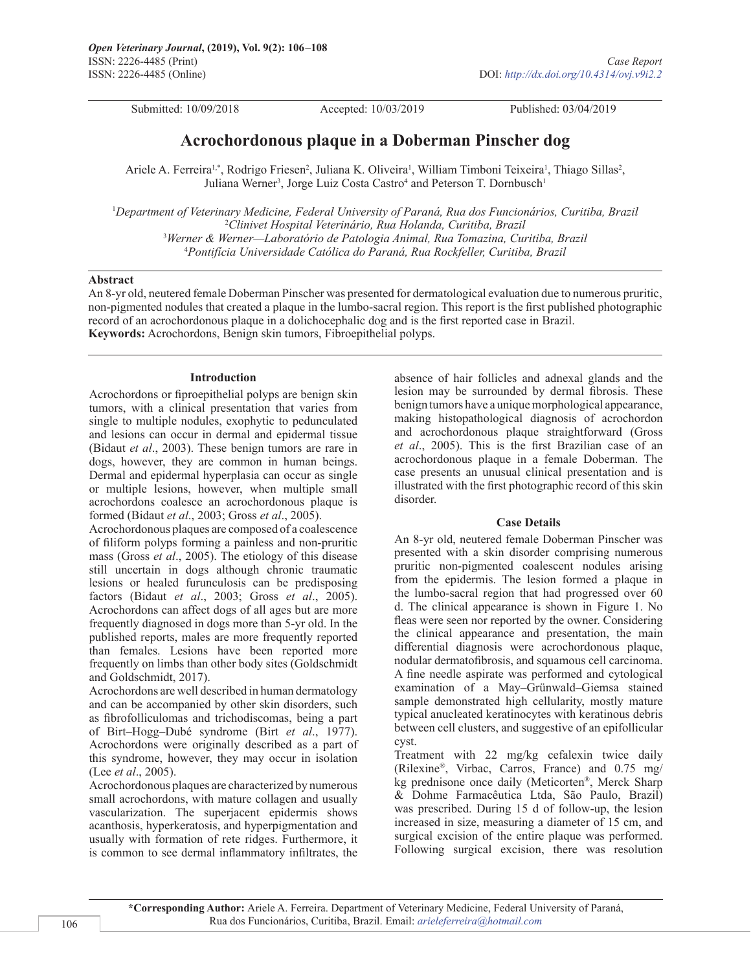Submitted: 10/09/2018 Accepted: 10/03/2019 Published: 03/04/2019

# **Acrochordonous plaque in a Doberman Pinscher dog**

Ariele A. Ferreira<sup>1,\*</sup>, Rodrigo Friesen<sup>2</sup>, Juliana K. Oliveira<sup>1</sup>, William Timboni Teixeira<sup>1</sup>, Thiago Sillas<sup>2</sup>, Juliana Werner<sup>3</sup>, Jorge Luiz Costa Castro<sup>4</sup> and Peterson T. Dornbusch<sup>1</sup>

 *Department of Veterinary Medicine, Federal University of Paraná, Rua dos Funcionários, Curitiba, Brazil Clinivet Hospital Veterinário, Rua Holanda, Curitiba, Brazil Werner & Werner—Laboratório de Patologia Animal, Rua Tomazina, Curitiba, Brazil Pontifícia Universidade Católica do Paraná, Rua Rockfeller, Curitiba, Brazil*

## **Abstract**

An 8-yr old, neutered female Doberman Pinscher was presented for dermatological evaluation due to numerous pruritic, non-pigmented nodules that created a plaque in the lumbo-sacral region. This report is the first published photographic record of an acrochordonous plaque in a dolichocephalic dog and is the first reported case in Brazil. **Keywords:** Acrochordons, Benign skin tumors, Fibroepithelial polyps.

# **Introduction**

Acrochordons or fiproepithelial polyps are benign skin tumors, with a clinical presentation that varies from single to multiple nodules, exophytic to pedunculated and lesions can occur in dermal and epidermal tissue (Bidaut *et al*., 2003). These benign tumors are rare in dogs, however, they are common in human beings. Dermal and epidermal hyperplasia can occur as single or multiple lesions, however, when multiple small acrochordons coalesce an acrochordonous plaque is formed (Bidaut *et al*., 2003; Gross *et al*., 2005).

Acrochordonous plaques are composed of a coalescence of filiform polyps forming a painless and non-pruritic mass (Gross *et al*., 2005). The etiology of this disease still uncertain in dogs although chronic traumatic lesions or healed furunculosis can be predisposing factors (Bidaut *et al*., 2003; Gross *et al*., 2005). Acrochordons can affect dogs of all ages but are more frequently diagnosed in dogs more than 5-yr old. In the published reports, males are more frequently reported than females. Lesions have been reported more frequently on limbs than other body sites (Goldschmidt and Goldschmidt, 2017).

Acrochordons are well described in human dermatology and can be accompanied by other skin disorders, such as fibrofolliculomas and trichodiscomas, being a part of Birt–Hogg–Dubé syndrome (Birt *et al*., 1977). Acrochordons were originally described as a part of this syndrome, however, they may occur in isolation (Lee *et al*., 2005).

Acrochordonous plaques are characterized by numerous small acrochordons, with mature collagen and usually vascularization. The superjacent epidermis shows acanthosis, hyperkeratosis, and hyperpigmentation and usually with formation of rete ridges. Furthermore, it is common to see dermal inflammatory infiltrates, the

absence of hair follicles and adnexal glands and the lesion may be surrounded by dermal fibrosis. These benign tumors have a unique morphological appearance, making histopathological diagnosis of acrochordon and acrochordonous plaque straightforward (Gross *et al*., 2005). This is the first Brazilian case of an acrochordonous plaque in a female Doberman. The case presents an unusual clinical presentation and is illustrated with the first photographic record of this skin disorder.

# **Case Details**

An 8-yr old, neutered female Doberman Pinscher was presented with a skin disorder comprising numerous pruritic non-pigmented coalescent nodules arising from the epidermis. The lesion formed a plaque in the lumbo-sacral region that had progressed over 60 d. The clinical appearance is shown in Figure 1. No fleas were seen nor reported by the owner. Considering the clinical appearance and presentation, the main differential diagnosis were acrochordonous plaque, nodular dermatofibrosis, and squamous cell carcinoma. A fine needle aspirate was performed and cytological examination of a May–Grünwald–Giemsa stained sample demonstrated high cellularity, mostly mature typical anucleated keratinocytes with keratinous debris between cell clusters, and suggestive of an epifollicular cyst.

Treatment with 22 mg/kg cefalexin twice daily (Rilexine®, Virbac, Carros, France) and 0.75 mg/ kg prednisone once daily (Meticorten®, Merck Sharp & Dohme Farmacêutica Ltda, São Paulo, Brazil) was prescribed. During 15 d of follow-up, the lesion increased in size, measuring a diameter of 15 cm, and surgical excision of the entire plaque was performed. Following surgical excision, there was resolution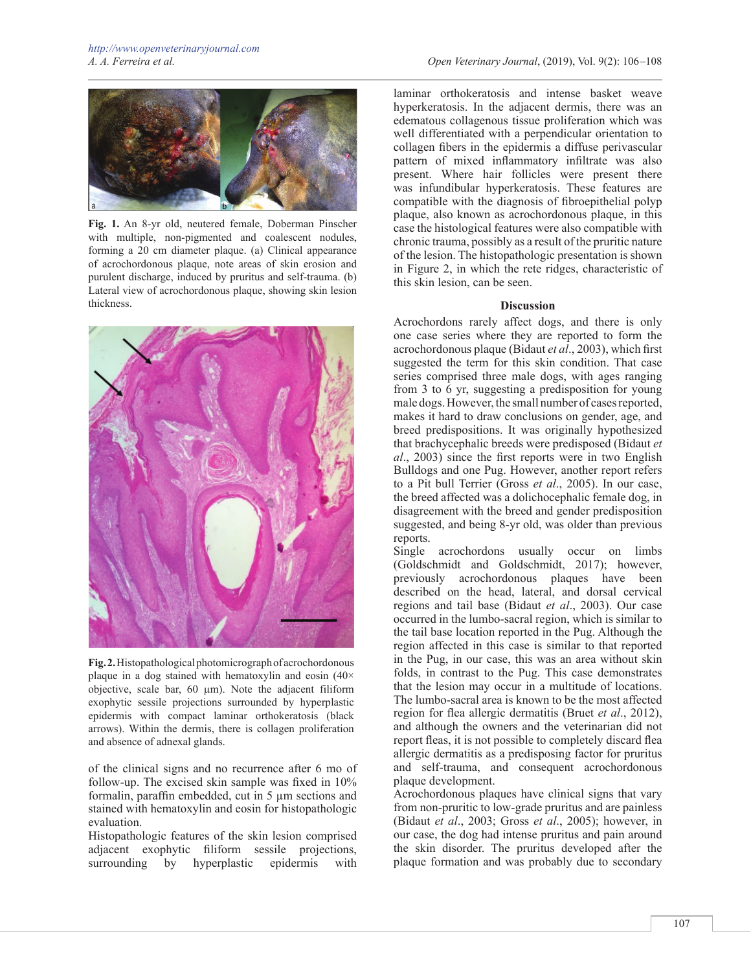

**Fig. 1.** An 8-yr old, neutered female, Doberman Pinscher with multiple, non-pigmented and coalescent nodules, forming a 20 cm diameter plaque. (a) Clinical appearance of acrochordonous plaque, note areas of skin erosion and purulent discharge, induced by pruritus and self-trauma. (b) Lateral view of acrochordonous plaque, showing skin lesion thickness.



**Fig. 2.** Histopathological photomicrograph of acrochordonous plaque in a dog stained with hematoxylin and eosin  $(40 \times$ objective, scale bar,  $60 \mu m$ ). Note the adjacent filiform exophytic sessile projections surrounded by hyperplastic epidermis with compact laminar orthokeratosis (black arrows). Within the dermis, there is collagen proliferation and absence of adnexal glands.

of the clinical signs and no recurrence after 6 mo of follow-up. The excised skin sample was fixed in 10% formalin, paraffin embedded, cut in 5 µm sections and stained with hematoxylin and eosin for histopathologic evaluation.

Histopathologic features of the skin lesion comprised adjacent exophytic filiform sessile projections, surrounding by hyperplastic epidermis with

laminar orthokeratosis and intense basket weave hyperkeratosis. In the adjacent dermis, there was an edematous collagenous tissue proliferation which was well differentiated with a perpendicular orientation to collagen fibers in the epidermis a diffuse perivascular pattern of mixed inflammatory infiltrate was also present. Where hair follicles were present there was infundibular hyperkeratosis. These features are compatible with the diagnosis of fibroepithelial polyp plaque, also known as acrochordonous plaque, in this case the histological features were also compatible with chronic trauma, possibly as a result of the pruritic nature of the lesion. The histopathologic presentation is shown in Figure 2, in which the rete ridges, characteristic of this skin lesion, can be seen.

#### **Discussion**

Acrochordons rarely affect dogs, and there is only one case series where they are reported to form the acrochordonous plaque (Bidaut *et al*., 2003), which first suggested the term for this skin condition. That case series comprised three male dogs, with ages ranging from 3 to 6 yr, suggesting a predisposition for young male dogs. However, the small number of cases reported, makes it hard to draw conclusions on gender, age, and breed predispositions. It was originally hypothesized that brachycephalic breeds were predisposed (Bidaut *et al*., 2003) since the first reports were in two English Bulldogs and one Pug. However, another report refers to a Pit bull Terrier (Gross *et al*., 2005). In our case, the breed affected was a dolichocephalic female dog, in disagreement with the breed and gender predisposition suggested, and being 8-yr old, was older than previous reports.

Single acrochordons usually occur on limbs (Goldschmidt and Goldschmidt, 2017); however, previously acrochordonous plaques have been described on the head, lateral, and dorsal cervical regions and tail base (Bidaut *et al*., 2003). Our case occurred in the lumbo-sacral region, which is similar to the tail base location reported in the Pug. Although the region affected in this case is similar to that reported in the Pug, in our case, this was an area without skin folds, in contrast to the Pug. This case demonstrates that the lesion may occur in a multitude of locations. The lumbo-sacral area is known to be the most affected region for flea allergic dermatitis (Bruet *et al*., 2012), and although the owners and the veterinarian did not report fleas, it is not possible to completely discard flea allergic dermatitis as a predisposing factor for pruritus and self-trauma, and consequent acrochordonous plaque development.

Acrochordonous plaques have clinical signs that vary from non-pruritic to low-grade pruritus and are painless (Bidaut *et al*., 2003; Gross *et al*., 2005); however, in our case, the dog had intense pruritus and pain around the skin disorder. The pruritus developed after the plaque formation and was probably due to secondary